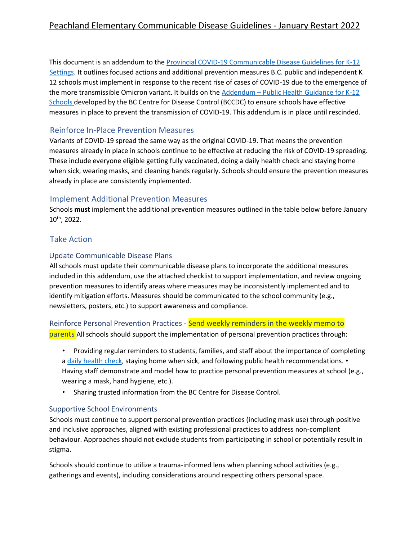This document is an addendum to the Provincial COVID-19 Communicable Disease Guidelines for K-12 Settings. It outlines focused actions and additional prevention measures B.C. public and independent K 12 schools must implement in response to the recent rise of cases of COVID-19 due to the emergence of the more transmissible Omicron variant. It builds on the Addendum - Public Health Guidance for K-12 Schools developed by the BC Centre for Disease Control (BCCDC) to ensure schools have effective measures in place to prevent the transmission of COVID-19. This addendum is in place until rescinded.

# Reinforce In-Place Prevention Measures

Variants of COVID-19 spread the same way as the original COVID-19. That means the prevention measures already in place in schools continue to be effective at reducing the risk of COVID-19 spreading. These include everyone eligible getting fully vaccinated, doing a daily health check and staying home when sick, wearing masks, and cleaning hands regularly. Schools should ensure the prevention measures already in place are consistently implemented.

## Implement Additional Prevention Measures

Schools **must** implement the additional prevention measures outlined in the table below before January 10th, 2022.

# Take Action

#### Update Communicable Disease Plans

All schools must update their communicable disease plans to incorporate the additional measures included in this addendum, use the attached checklist to support implementation, and review ongoing prevention measures to identify areas where measures may be inconsistently implemented and to identify mitigation efforts. Measures should be communicated to the school community (e.g., newsletters, posters, etc.) to support awareness and compliance.

Reinforce Personal Prevention Practices - Send weekly reminders in the weekly memo to parents All schools should support the implementation of personal prevention practices through:

- Providing regular reminders to students, families, and staff about the importance of completing a daily health check, staying home when sick, and following public health recommendations. • Having staff demonstrate and model how to practice personal prevention measures at school (e.g., wearing a mask, hand hygiene, etc.).
- Sharing trusted information from the BC Centre for Disease Control.

## Supportive School Environments

Schools must continue to support personal prevention practices (including mask use) through positive and inclusive approaches, aligned with existing professional practices to address non-compliant behaviour. Approaches should not exclude students from participating in school or potentially result in stigma.

Schools should continue to utilize a trauma-informed lens when planning school activities (e.g., gatherings and events), including considerations around respecting others personal space.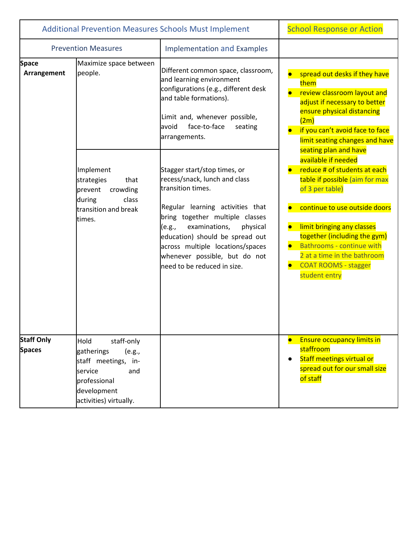| <b>Additional Prevention Measures Schools Must Implement</b> |                                                                                                                                                  | <b>School Response or Action</b>                                                                                                                                                                                                                                                                                                                                                                                                                                                                                                                                  |                                                                                                                                                                                                                                                                                                                                                                                                                                                                                                                                                                         |
|--------------------------------------------------------------|--------------------------------------------------------------------------------------------------------------------------------------------------|-------------------------------------------------------------------------------------------------------------------------------------------------------------------------------------------------------------------------------------------------------------------------------------------------------------------------------------------------------------------------------------------------------------------------------------------------------------------------------------------------------------------------------------------------------------------|-------------------------------------------------------------------------------------------------------------------------------------------------------------------------------------------------------------------------------------------------------------------------------------------------------------------------------------------------------------------------------------------------------------------------------------------------------------------------------------------------------------------------------------------------------------------------|
| <b>Prevention Measures</b>                                   |                                                                                                                                                  | <b>Implementation and Examples</b>                                                                                                                                                                                                                                                                                                                                                                                                                                                                                                                                |                                                                                                                                                                                                                                                                                                                                                                                                                                                                                                                                                                         |
| <b>Space</b><br>Arrangement                                  | Maximize space between<br>people.<br>Implement<br>strategies<br>that<br>crowding<br>prevent<br>during<br>class<br>transition and break<br>times. | Different common space, classroom,<br>and learning environment<br>configurations (e.g., different desk<br>and table formations).<br>Limit and, whenever possible,<br>avoid<br>face-to-face<br>seating<br>arrangements.<br>Stagger start/stop times, or<br>recess/snack, lunch and class<br>transition times.<br>Regular learning activities that<br>bring together multiple classes<br>examinations,<br>(e.g.,<br>physical<br>education) should be spread out<br>across multiple locations/spaces<br>whenever possible, but do not<br>need to be reduced in size. | spread out desks if they have<br>them<br>review classroom layout and<br>adjust if necessary to better<br>ensure physical distancing<br>(2m)<br>if you can't avoid face to face<br>limit seating changes and have<br>seating plan and have<br>available if needed<br>reduce # of students at each<br>table if possible (aim for max<br>of 3 per table)<br>continue to use outside doors<br>limit bringing any classes<br>together (including the gym)<br><b>Bathrooms - continue with</b><br>2 at a time in the bathroom<br><b>COAT ROOMS - stagger</b><br>student entry |
| <b>Staff Only</b><br><b>Spaces</b>                           | Hold<br>staff-only<br>gatherings<br>(e.g.,<br>staff meetings, in-<br>service<br>and<br>professional<br>development<br>activities) virtually.     |                                                                                                                                                                                                                                                                                                                                                                                                                                                                                                                                                                   | <b>Ensure occupancy limits in</b><br>staffroom<br><b>Staff meetings virtual or</b><br>spread out for our small size<br>of staff                                                                                                                                                                                                                                                                                                                                                                                                                                         |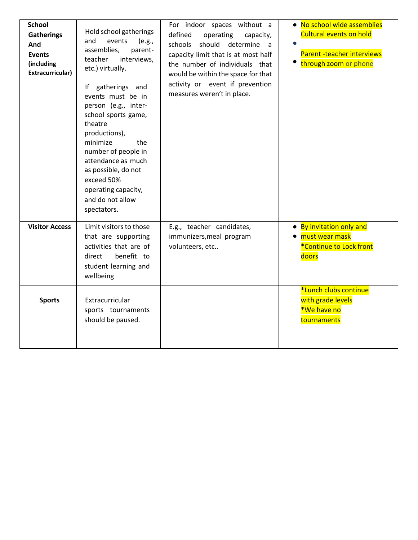| <b>School</b><br><b>Gatherings</b><br>And<br><b>Events</b><br>(including<br>Extracurricular) | Hold school gatherings<br>and<br>events<br>(e.g.,<br>assemblies,<br>parent-<br>interviews,<br>teacher<br>etc.) virtually.<br>gatherings and<br>١f<br>events must be in<br>person (e.g., inter-<br>school sports game,<br>theatre<br>productions),<br>minimize<br>the<br>number of people in<br>attendance as much<br>as possible, do not<br>exceed 50%<br>operating capacity,<br>and do not allow<br>spectators. | For indoor spaces without a<br>defined<br>operating<br>capacity,<br>should<br>schools<br>determine a<br>capacity limit that is at most half<br>the number of individuals that<br>would be within the space for that<br>activity or event if prevention<br>measures weren't in place. | • No school wide assemblies<br><b>Cultural events on hold</b><br>Parent-teacher interviews<br>through zoom or phone |
|----------------------------------------------------------------------------------------------|------------------------------------------------------------------------------------------------------------------------------------------------------------------------------------------------------------------------------------------------------------------------------------------------------------------------------------------------------------------------------------------------------------------|--------------------------------------------------------------------------------------------------------------------------------------------------------------------------------------------------------------------------------------------------------------------------------------|---------------------------------------------------------------------------------------------------------------------|
| <b>Visitor Access</b>                                                                        | Limit visitors to those<br>that are supporting<br>activities that are of<br>benefit to<br>direct<br>student learning and<br>wellbeing                                                                                                                                                                                                                                                                            | E.g., teacher candidates,<br>immunizers, meal program<br>volunteers, etc                                                                                                                                                                                                             | • By invitation only and<br>• must wear mask<br>*Continue to Lock front<br>doors                                    |
| <b>Sports</b>                                                                                | Extracurricular<br>sports tournaments<br>should be paused.                                                                                                                                                                                                                                                                                                                                                       |                                                                                                                                                                                                                                                                                      | *Lunch clubs continue<br>with grade levels<br>*We have no<br>tournaments                                            |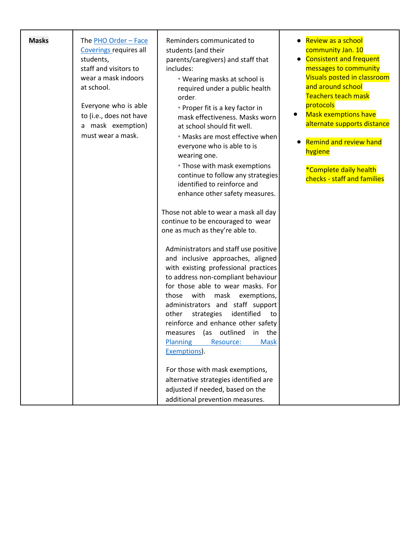| <b>Masks</b> | The PHO Order - Face<br>Coverings requires all<br>students,<br>staff and visitors to<br>wear a mask indoors<br>at school.<br>Everyone who is able<br>to (i.e., does not have<br>a mask exemption)<br>must wear a mask. | Reminders communicated to<br>students (and their<br>parents/caregivers) and staff that<br>includes:<br>• Wearing masks at school is<br>required under a public health<br>order.<br>• Proper fit is a key factor in<br>mask effectiveness. Masks worn<br>at school should fit well.<br>• Masks are most effective when<br>everyone who is able to is<br>wearing one.<br>• Those with mask exemptions<br>continue to follow any strategies<br>identified to reinforce and<br>enhance other safety measures.<br>Those not able to wear a mask all day<br>continue to be encouraged to wear<br>one as much as they're able to.<br>Administrators and staff use positive<br>and inclusive approaches, aligned<br>with existing professional practices<br>to address non-compliant behaviour<br>for those able to wear masks. For<br>with<br>mask<br>those<br>exemptions,<br>administrators and staff support<br>identified<br>strategies<br>other<br>to<br>reinforce and enhance other safety<br>outlined<br>in<br>the<br>(as<br>measures<br><b>Planning</b><br><b>Mask</b><br>Resource: | Review as a school<br>community Jan. 10<br><b>Consistent and frequent</b><br>$\bullet$<br>messages to community<br>Visuals posted in classroom<br>and around school<br>Teachers teach mask<br>protocols<br><b>Mask exemptions have</b><br>alternate supports distance<br><b>Remind and review hand</b><br>hygiene<br>*Complete daily health<br>checks - staff and families |
|--------------|------------------------------------------------------------------------------------------------------------------------------------------------------------------------------------------------------------------------|-------------------------------------------------------------------------------------------------------------------------------------------------------------------------------------------------------------------------------------------------------------------------------------------------------------------------------------------------------------------------------------------------------------------------------------------------------------------------------------------------------------------------------------------------------------------------------------------------------------------------------------------------------------------------------------------------------------------------------------------------------------------------------------------------------------------------------------------------------------------------------------------------------------------------------------------------------------------------------------------------------------------------------------------------------------------------------------|----------------------------------------------------------------------------------------------------------------------------------------------------------------------------------------------------------------------------------------------------------------------------------------------------------------------------------------------------------------------------|
|              |                                                                                                                                                                                                                        | Exemptions).<br>For those with mask exemptions,<br>alternative strategies identified are<br>adjusted if needed, based on the<br>additional prevention measures.                                                                                                                                                                                                                                                                                                                                                                                                                                                                                                                                                                                                                                                                                                                                                                                                                                                                                                                     |                                                                                                                                                                                                                                                                                                                                                                            |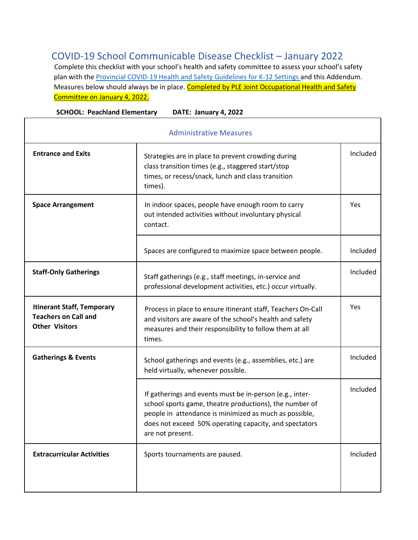# COVID-19 School Communicable Disease Checklist – January 2022

Complete this checklist with your school's health and safety committee to assess your school's safety plan with the **Provincial COVID-19 Health and Safety Guidelines for K-12 Settings and this Addendum.** Measures below should always be in place. Completed by PLE Joint Occupational Health and Safety Committee on January 4, 2022.

| <b>SCHOOL: Peachland Elementary</b><br>DATE: January 4, 2022                              |                                                                                                                                                                                                                                                             |          |
|-------------------------------------------------------------------------------------------|-------------------------------------------------------------------------------------------------------------------------------------------------------------------------------------------------------------------------------------------------------------|----------|
| <b>Administrative Measures</b>                                                            |                                                                                                                                                                                                                                                             |          |
| <b>Entrance and Exits</b>                                                                 | Strategies are in place to prevent crowding during<br>class transition times (e.g., staggered start/stop<br>times, or recess/snack, lunch and class transition<br>times).                                                                                   | Included |
| <b>Space Arrangement</b>                                                                  | In indoor spaces, people have enough room to carry<br>out intended activities without involuntary physical<br>contact.                                                                                                                                      | Yes      |
|                                                                                           | Spaces are configured to maximize space between people.                                                                                                                                                                                                     | Included |
| <b>Staff-Only Gatherings</b>                                                              | Staff gatherings (e.g., staff meetings, in-service and<br>professional development activities, etc.) occur virtually.                                                                                                                                       | Included |
| <b>Itinerant Staff, Temporary</b><br><b>Teachers on Call and</b><br><b>Other Visitors</b> | Process in place to ensure itinerant staff, Teachers On-Call<br>and visitors are aware of the school's health and safety<br>measures and their responsibility to follow them at all<br>times.                                                               | Yes      |
| <b>Gatherings &amp; Events</b>                                                            | School gatherings and events (e.g., assemblies, etc.) are<br>held virtually, whenever possible.                                                                                                                                                             | Included |
|                                                                                           | If gatherings and events must be in-person (e.g., inter-<br>school sports game, theatre productions), the number of<br>people in attendance is minimized as much as possible,<br>does not exceed 50% operating capacity, and spectators<br>are not present. | Included |
| <b>Extracurricular Activities</b>                                                         | Sports tournaments are paused.                                                                                                                                                                                                                              | Included |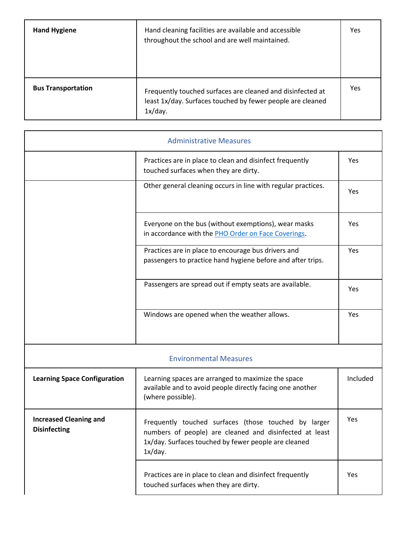| <b>Hand Hygiene</b>       | Hand cleaning facilities are available and accessible<br>throughout the school and are well maintained.                             | Yes |
|---------------------------|-------------------------------------------------------------------------------------------------------------------------------------|-----|
| <b>Bus Transportation</b> | Frequently touched surfaces are cleaned and disinfected at<br>least 1x/day. Surfaces touched by fewer people are cleaned<br>1x/day. | Yes |

| <b>Administrative Measures</b>                       |                                                                                                                                                                                    |            |
|------------------------------------------------------|------------------------------------------------------------------------------------------------------------------------------------------------------------------------------------|------------|
|                                                      | Practices are in place to clean and disinfect frequently<br>touched surfaces when they are dirty.                                                                                  | <b>Yes</b> |
|                                                      | Other general cleaning occurs in line with regular practices.                                                                                                                      | Yes        |
|                                                      | Everyone on the bus (without exemptions), wear masks<br>in accordance with the PHO Order on Face Coverings.                                                                        | Yes        |
|                                                      | Practices are in place to encourage bus drivers and<br>passengers to practice hand hygiene before and after trips.                                                                 | Yes        |
|                                                      | Passengers are spread out if empty seats are available.                                                                                                                            | Yes        |
|                                                      | Windows are opened when the weather allows.                                                                                                                                        | Yes        |
|                                                      | <b>Environmental Measures</b>                                                                                                                                                      |            |
| <b>Learning Space Configuration</b>                  | Learning spaces are arranged to maximize the space<br>available and to avoid people directly facing one another<br>(where possible).                                               | Included   |
| <b>Increased Cleaning and</b><br><b>Disinfecting</b> | Frequently touched surfaces (those touched by larger<br>numbers of people) are cleaned and disinfected at least<br>1x/day. Surfaces touched by fewer people are cleaned<br>1x/day. | Yes        |
|                                                      | Practices are in place to clean and disinfect frequently<br>touched surfaces when they are dirty.                                                                                  | Yes        |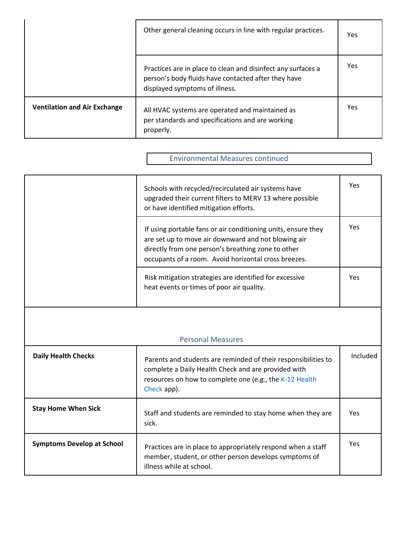|                                     | Other general cleaning occurs in line with regular practices.                                                                                         | Yes |
|-------------------------------------|-------------------------------------------------------------------------------------------------------------------------------------------------------|-----|
|                                     | Practices are in place to clean and disinfect any surfaces a<br>person's body fluids have contacted after they have<br>displayed symptoms of illness. | Yes |
| <b>Ventilation and Air Exchange</b> | All HVAC systems are operated and maintained as<br>per standards and specifications and are working<br>properly.                                      | Yes |

# Environmental Measures continued

|                                   | Schools with recycled/recirculated air systems have<br>upgraded their current filters to MERV 13 where possible<br>or have identified mitigation efforts.                                                                          | Yes        |
|-----------------------------------|------------------------------------------------------------------------------------------------------------------------------------------------------------------------------------------------------------------------------------|------------|
|                                   | If using portable fans or air conditioning units, ensure they<br>are set up to move air downward and not blowing air<br>directly from one person's breathing zone to other<br>occupants of a room. Avoid horizontal cross breezes. | Yes        |
|                                   | Risk mitigation strategies are identified for excessive<br>heat events or times of poor air quality.                                                                                                                               | Yes        |
| <b>Personal Measures</b>          |                                                                                                                                                                                                                                    |            |
| <b>Daily Health Checks</b>        | Parents and students are reminded of their responsibilities to<br>complete a Daily Health Check and are provided with<br>resources on how to complete one (e.g., the K-12 Health<br>Check app).                                    | Included   |
| <b>Stay Home When Sick</b>        | Staff and students are reminded to stay home when they are<br>sick.                                                                                                                                                                | Yes        |
| <b>Symptoms Develop at School</b> | Practices are in place to appropriately respond when a staff<br>member, student, or other person develops symptoms of<br>illness while at school.                                                                                  | <b>Yes</b> |